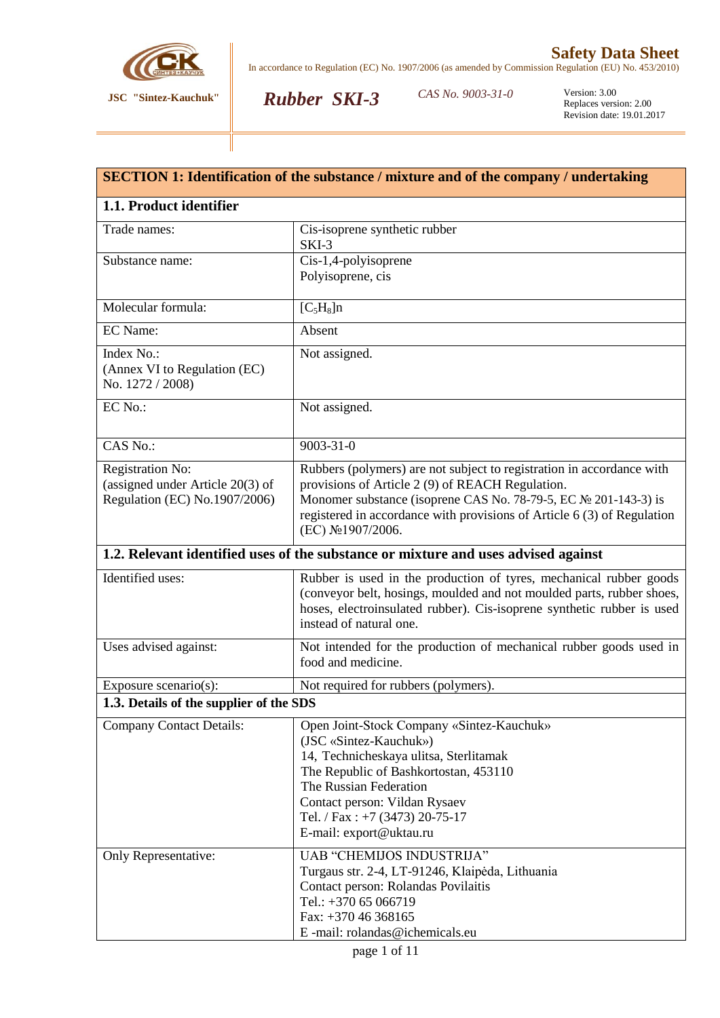

*Rubber SKI-3*

CAS No. 9003-31-0

| <b>SECTION 1: Identification of the substance / mixture and of the company / undertaking</b>   |                                                                                                                                                                                                                                                                                             |  |  |
|------------------------------------------------------------------------------------------------|---------------------------------------------------------------------------------------------------------------------------------------------------------------------------------------------------------------------------------------------------------------------------------------------|--|--|
| 1.1. Product identifier                                                                        |                                                                                                                                                                                                                                                                                             |  |  |
| Trade names:                                                                                   | Cis-isoprene synthetic rubber<br>SKI-3                                                                                                                                                                                                                                                      |  |  |
| Substance name:                                                                                | Cis-1,4-polyisoprene<br>Polyisoprene, cis                                                                                                                                                                                                                                                   |  |  |
| Molecular formula:                                                                             | $[C_5H_8]n$                                                                                                                                                                                                                                                                                 |  |  |
| <b>EC</b> Name:                                                                                | Absent                                                                                                                                                                                                                                                                                      |  |  |
| Index No.:<br>(Annex VI to Regulation (EC)<br>No. 1272 / 2008)                                 | Not assigned.                                                                                                                                                                                                                                                                               |  |  |
| EC No.:                                                                                        | Not assigned.                                                                                                                                                                                                                                                                               |  |  |
| CAS No.:                                                                                       | $9003 - 31 - 0$                                                                                                                                                                                                                                                                             |  |  |
| <b>Registration No:</b><br>(assigned under Article $20(3)$ of<br>Regulation (EC) No.1907/2006) | Rubbers (polymers) are not subject to registration in accordance with<br>provisions of Article 2 (9) of REACH Regulation.<br>Monomer substance (isoprene CAS No. 78-79-5, EC № 201-143-3) is<br>registered in accordance with provisions of Article 6 (3) of Regulation<br>(EC) №1907/2006. |  |  |
|                                                                                                | 1.2. Relevant identified uses of the substance or mixture and uses advised against                                                                                                                                                                                                          |  |  |
| Identified uses:                                                                               | Rubber is used in the production of tyres, mechanical rubber goods<br>(conveyor belt, hosings, moulded and not moulded parts, rubber shoes,<br>hoses, electroinsulated rubber). Cis-isoprene synthetic rubber is used<br>instead of natural one.                                            |  |  |
| Uses advised against:                                                                          | Not intended for the production of mechanical rubber goods used in<br>food and medicine.                                                                                                                                                                                                    |  |  |
| Exposure scenario(s):                                                                          | Not required for rubbers (polymers).                                                                                                                                                                                                                                                        |  |  |
| 1.3. Details of the supplier of the SDS                                                        |                                                                                                                                                                                                                                                                                             |  |  |
| <b>Company Contact Details:</b>                                                                | Open Joint-Stock Company «Sintez-Kauchuk»<br>(JSC «Sintez-Kauchuk»)<br>14, Technicheskaya ulitsa, Sterlitamak<br>The Republic of Bashkortostan, 453110<br>The Russian Federation<br>Contact person: Vildan Rysaev<br>Tel. / Fax : $+7$ (3473) 20-75-17<br>E-mail: export@uktau.ru           |  |  |
| Only Representative:                                                                           | UAB "CHEMIJOS INDUSTRIJA"<br>Turgaus str. 2-4, LT-91246, Klaipėda, Lithuania<br>Contact person: Rolandas Povilaitis<br>Tel.: +370 65 066719<br>Fax: +370 46 368165<br>E-mail: rolandas@ichemicals.eu                                                                                        |  |  |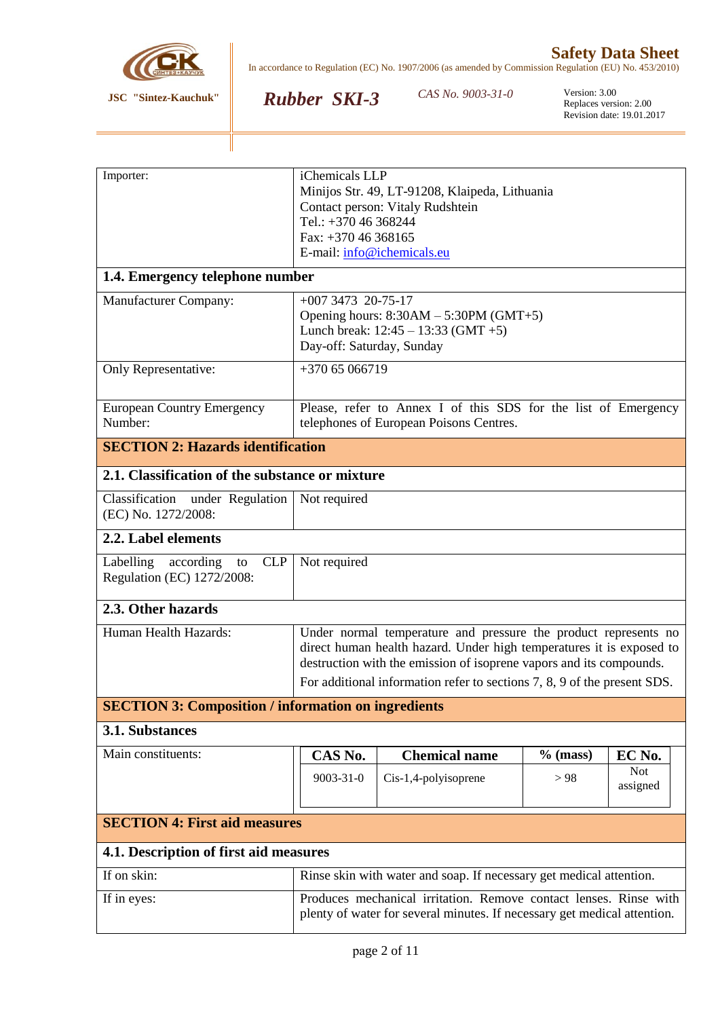

*Rubber SKI-3*

CAS No. 9003-31-0

| Importer:                                                  | iChemicals LLP                                                           |                                                                      |            |            |
|------------------------------------------------------------|--------------------------------------------------------------------------|----------------------------------------------------------------------|------------|------------|
|                                                            |                                                                          | Minijos Str. 49, LT-91208, Klaipeda, Lithuania                       |            |            |
|                                                            | Contact person: Vitaly Rudshtein<br>Tel.: +370 46 368244                 |                                                                      |            |            |
|                                                            | Fax: +370 46 368165                                                      |                                                                      |            |            |
|                                                            |                                                                          |                                                                      |            |            |
|                                                            | E-mail: info@ichemicals.eu                                               |                                                                      |            |            |
|                                                            | 1.4. Emergency telephone number                                          |                                                                      |            |            |
| <b>Manufacturer Company:</b>                               | $+007347320-75-17$                                                       |                                                                      |            |            |
|                                                            |                                                                          | Opening hours: $8:30AM - 5:30PM$ (GMT+5)                             |            |            |
|                                                            |                                                                          | Lunch break: $12:45 - 13:33$ (GMT +5)                                |            |            |
|                                                            | Day-off: Saturday, Sunday                                                |                                                                      |            |            |
| Only Representative:                                       | +370 65 066719                                                           |                                                                      |            |            |
|                                                            |                                                                          |                                                                      |            |            |
| <b>European Country Emergency</b>                          |                                                                          | Please, refer to Annex I of this SDS for the list of Emergency       |            |            |
| Number:                                                    |                                                                          | telephones of European Poisons Centres.                              |            |            |
| <b>SECTION 2: Hazards identification</b>                   |                                                                          |                                                                      |            |            |
| 2.1. Classification of the substance or mixture            |                                                                          |                                                                      |            |            |
| Classification<br>under Regulation                         | Not required                                                             |                                                                      |            |            |
| (EC) No. 1272/2008:                                        |                                                                          |                                                                      |            |            |
| 2.2. Label elements                                        |                                                                          |                                                                      |            |            |
| <b>CLP</b><br>Labelling<br>according<br>to                 | Not required                                                             |                                                                      |            |            |
| Regulation (EC) 1272/2008:                                 |                                                                          |                                                                      |            |            |
|                                                            |                                                                          |                                                                      |            |            |
| 2.3. Other hazards                                         |                                                                          |                                                                      |            |            |
| Human Health Hazards:                                      | Under normal temperature and pressure the product represents no          |                                                                      |            |            |
|                                                            |                                                                          | direct human health hazard. Under high temperatures it is exposed to |            |            |
|                                                            |                                                                          | destruction with the emission of isoprene vapors and its compounds.  |            |            |
|                                                            | For additional information refer to sections 7, 8, 9 of the present SDS. |                                                                      |            |            |
| <b>SECTION 3: Composition / information on ingredients</b> |                                                                          |                                                                      |            |            |
| 3.1. Substances                                            |                                                                          |                                                                      |            |            |
| Main constituents:                                         | CAS No.                                                                  | <b>Chemical name</b>                                                 | $%$ (mass) | EC No.     |
|                                                            | 9003-31-0                                                                | Cis-1,4-polyisoprene                                                 | > 98       | <b>Not</b> |
|                                                            |                                                                          |                                                                      |            | assigned   |
|                                                            |                                                                          |                                                                      |            |            |
| <b>SECTION 4: First aid measures</b>                       |                                                                          |                                                                      |            |            |
| 4.1. Description of first aid measures                     |                                                                          |                                                                      |            |            |
| If on skin:                                                |                                                                          | Rinse skin with water and soap. If necessary get medical attention.  |            |            |
| If in eyes:                                                |                                                                          | Produces mechanical irritation. Remove contact lenses. Rinse with    |            |            |
|                                                            | plenty of water for several minutes. If necessary get medical attention. |                                                                      |            |            |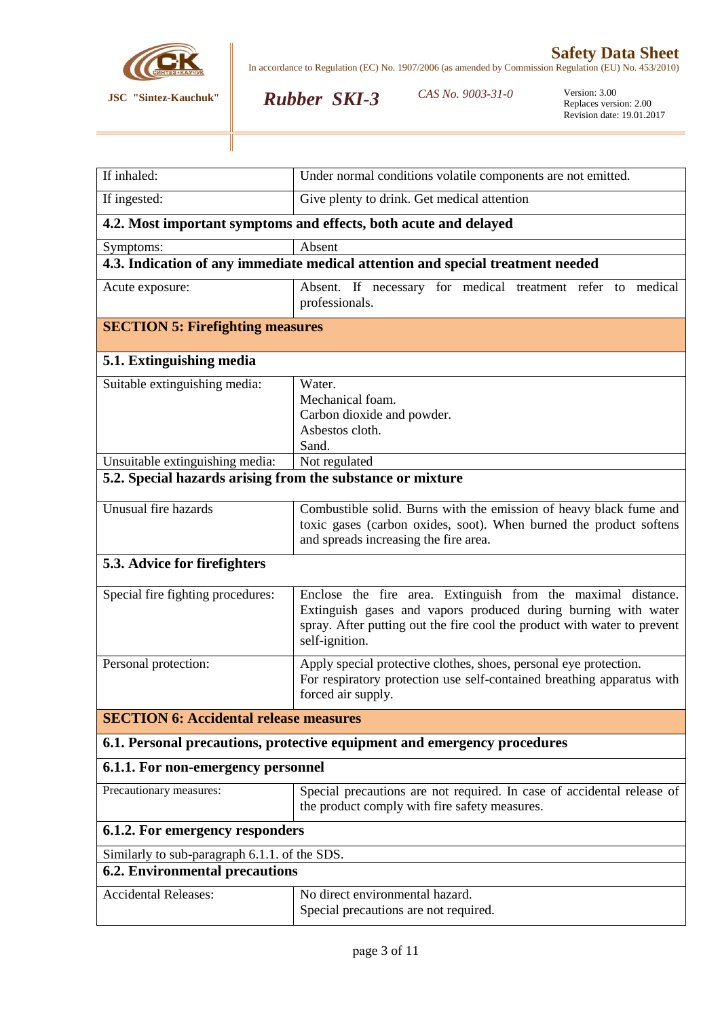

CAS No. 9003-31-0

*Rubber SKI-3*

| If inhaled:                                                                     | Under normal conditions volatile components are not emitted.                                                            |  |  |  |
|---------------------------------------------------------------------------------|-------------------------------------------------------------------------------------------------------------------------|--|--|--|
| If ingested:                                                                    | Give plenty to drink. Get medical attention                                                                             |  |  |  |
| 4.2. Most important symptoms and effects, both acute and delayed                |                                                                                                                         |  |  |  |
| Symptoms:                                                                       | Absent                                                                                                                  |  |  |  |
| 4.3. Indication of any immediate medical attention and special treatment needed |                                                                                                                         |  |  |  |
| Acute exposure:                                                                 | Absent. If necessary for medical treatment refer to medical                                                             |  |  |  |
|                                                                                 | professionals.                                                                                                          |  |  |  |
| <b>SECTION 5: Firefighting measures</b>                                         |                                                                                                                         |  |  |  |
| 5.1. Extinguishing media                                                        |                                                                                                                         |  |  |  |
| Suitable extinguishing media:                                                   | Water.                                                                                                                  |  |  |  |
|                                                                                 | Mechanical foam.                                                                                                        |  |  |  |
|                                                                                 | Carbon dioxide and powder.                                                                                              |  |  |  |
|                                                                                 | Asbestos cloth.                                                                                                         |  |  |  |
|                                                                                 | Sand.                                                                                                                   |  |  |  |
| Unsuitable extinguishing media:                                                 | Not regulated                                                                                                           |  |  |  |
| 5.2. Special hazards arising from the substance or mixture                      |                                                                                                                         |  |  |  |
| Unusual fire hazards                                                            | Combustible solid. Burns with the emission of heavy black fume and                                                      |  |  |  |
|                                                                                 | toxic gases (carbon oxides, soot). When burned the product softens                                                      |  |  |  |
|                                                                                 | and spreads increasing the fire area.                                                                                   |  |  |  |
| 5.3. Advice for firefighters                                                    |                                                                                                                         |  |  |  |
| Special fire fighting procedures:                                               | Enclose the fire area. Extinguish from the maximal distance.                                                            |  |  |  |
|                                                                                 | Extinguish gases and vapors produced during burning with water                                                          |  |  |  |
|                                                                                 | spray. After putting out the fire cool the product with water to prevent                                                |  |  |  |
|                                                                                 | self-ignition.                                                                                                          |  |  |  |
| Personal protection:                                                            | Apply special protective clothes, shoes, personal eye protection.                                                       |  |  |  |
|                                                                                 | For respiratory protection use self-contained breathing apparatus with                                                  |  |  |  |
|                                                                                 | forced air supply.                                                                                                      |  |  |  |
| <b>SECTION 6: Accidental release measures</b>                                   |                                                                                                                         |  |  |  |
|                                                                                 | 6.1. Personal precautions, protective equipment and emergency procedures                                                |  |  |  |
| 6.1.1. For non-emergency personnel                                              |                                                                                                                         |  |  |  |
| Precautionary measures:                                                         | Special precautions are not required. In case of accidental release of<br>the product comply with fire safety measures. |  |  |  |
|                                                                                 |                                                                                                                         |  |  |  |
| 6.1.2. For emergency responders                                                 |                                                                                                                         |  |  |  |
| Similarly to sub-paragraph 6.1.1. of the SDS.                                   |                                                                                                                         |  |  |  |
| <b>6.2. Environmental precautions</b>                                           |                                                                                                                         |  |  |  |
| <b>Accidental Releases:</b>                                                     | No direct environmental hazard.                                                                                         |  |  |  |
|                                                                                 | Special precautions are not required.                                                                                   |  |  |  |
|                                                                                 |                                                                                                                         |  |  |  |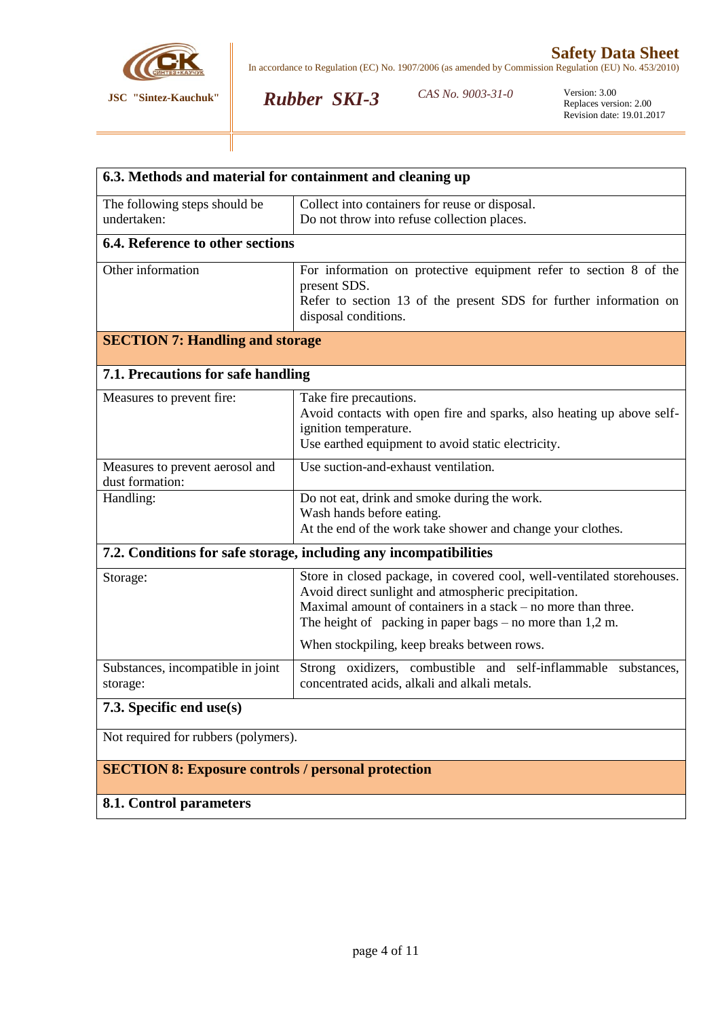

*Rubber SKI-3*

CAS No. 9003-31-0

| 6.3. Methods and material for containment and cleaning up         |                                                                                                                                |  |  |  |
|-------------------------------------------------------------------|--------------------------------------------------------------------------------------------------------------------------------|--|--|--|
| The following steps should be                                     | Collect into containers for reuse or disposal.                                                                                 |  |  |  |
| undertaken:                                                       | Do not throw into refuse collection places.                                                                                    |  |  |  |
| 6.4. Reference to other sections                                  |                                                                                                                                |  |  |  |
| Other information                                                 | For information on protective equipment refer to section 8 of the                                                              |  |  |  |
|                                                                   | present SDS.<br>Refer to section 13 of the present SDS for further information on                                              |  |  |  |
|                                                                   | disposal conditions.                                                                                                           |  |  |  |
| <b>SECTION 7: Handling and storage</b>                            |                                                                                                                                |  |  |  |
| 7.1. Precautions for safe handling                                |                                                                                                                                |  |  |  |
| Measures to prevent fire:                                         | Take fire precautions.                                                                                                         |  |  |  |
|                                                                   | Avoid contacts with open fire and sparks, also heating up above self-                                                          |  |  |  |
|                                                                   | ignition temperature.<br>Use earthed equipment to avoid static electricity.                                                    |  |  |  |
| Measures to prevent aerosol and                                   | Use suction-and-exhaust ventilation.                                                                                           |  |  |  |
| dust formation:                                                   |                                                                                                                                |  |  |  |
| Handling:                                                         | Do not eat, drink and smoke during the work.                                                                                   |  |  |  |
|                                                                   | Wash hands before eating.<br>At the end of the work take shower and change your clothes.                                       |  |  |  |
| 7.2. Conditions for safe storage, including any incompatibilities |                                                                                                                                |  |  |  |
|                                                                   |                                                                                                                                |  |  |  |
| Storage:                                                          | Store in closed package, in covered cool, well-ventilated storehouses.<br>Avoid direct sunlight and atmospheric precipitation. |  |  |  |
|                                                                   | Maximal amount of containers in a stack – no more than three.                                                                  |  |  |  |
|                                                                   | The height of packing in paper bags $-$ no more than 1,2 m.                                                                    |  |  |  |
|                                                                   | When stockpiling, keep breaks between rows.                                                                                    |  |  |  |
| Substances, incompatible in joint                                 | Strong oxidizers, combustible and self-inflammable substances,                                                                 |  |  |  |
| storage:                                                          | concentrated acids, alkali and alkali metals.                                                                                  |  |  |  |
| 7.3. Specific end use(s)                                          |                                                                                                                                |  |  |  |
| Not required for rubbers (polymers).                              |                                                                                                                                |  |  |  |
| <b>SECTION 8: Exposure controls / personal protection</b>         |                                                                                                                                |  |  |  |
| 8.1. Control parameters                                           |                                                                                                                                |  |  |  |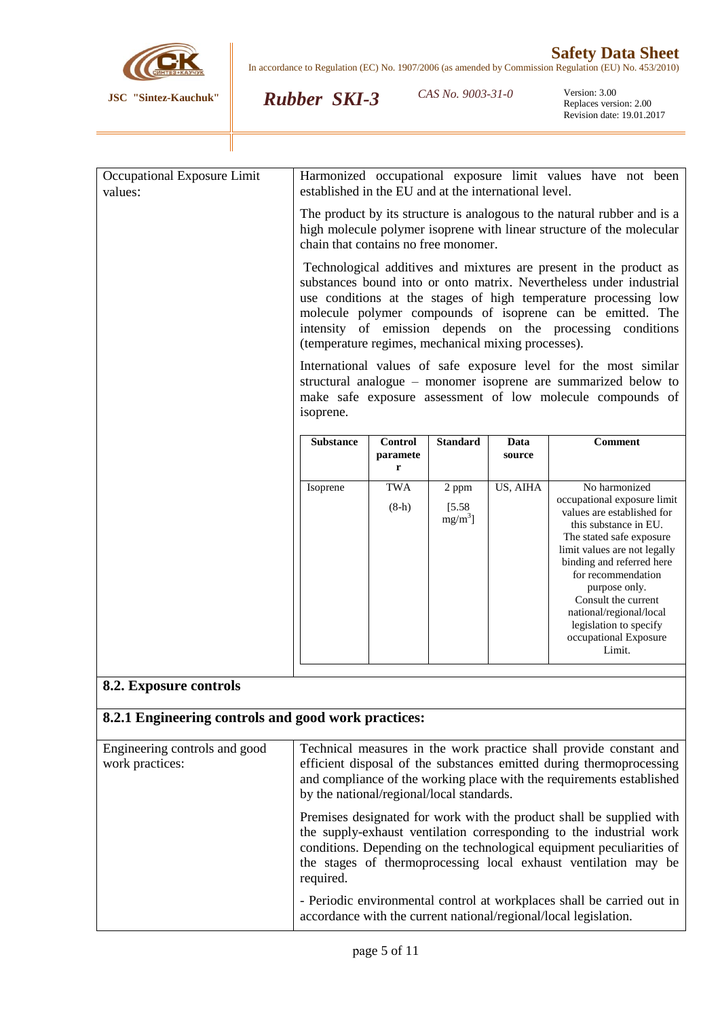

*Rubber SKI-3*

CAS No. 9003-31-0

Version: 3.00<br>Replaces version: 2.00 Revision date: 19.01.2017

| chain that contains no free monomer. |                                 |                               |                | The product by its structure is analogous to the natural rubber and is a<br>high molecule polymer isoprene with linear structure of the molecular<br>Technological additives and mixtures are present in the product as<br>substances bound into or onto matrix. Nevertheless under industrial<br>use conditions at the stages of high temperature processing low<br>molecule polymer compounds of isoprene can be emitted. The |
|--------------------------------------|---------------------------------|-------------------------------|----------------|---------------------------------------------------------------------------------------------------------------------------------------------------------------------------------------------------------------------------------------------------------------------------------------------------------------------------------------------------------------------------------------------------------------------------------|
|                                      |                                 |                               |                |                                                                                                                                                                                                                                                                                                                                                                                                                                 |
|                                      |                                 |                               |                | intensity of emission depends on the processing conditions                                                                                                                                                                                                                                                                                                                                                                      |
| isoprene.                            |                                 |                               |                |                                                                                                                                                                                                                                                                                                                                                                                                                                 |
| <b>Substance</b>                     | <b>Control</b><br>paramete<br>r | <b>Standard</b>               | Data<br>source | <b>Comment</b>                                                                                                                                                                                                                                                                                                                                                                                                                  |
| Isoprene                             | <b>TWA</b><br>$(8-h)$           | 2 ppm<br>[5.58]<br>$mg/m^3$ ] | US, AIHA       | No harmonized<br>occupational exposure limit<br>values are established for<br>this substance in EU.<br>The stated safe exposure<br>limit values are not legally<br>binding and referred here<br>for recommendation<br>purpose only.<br>Consult the current<br>national/regional/local<br>legislation to specify<br>occupational Exposure<br>Limit.                                                                              |
|                                      |                                 |                               |                | (temperature regimes, mechanical mixing processes).<br>International values of safe exposure level for the most similar<br>structural analogue – monomer isoprene are summarized below to<br>make safe exposure assessment of low molecule compounds of                                                                                                                                                                         |

### **8.2. Exposure controls**

# **8.2.1 Engineering controls and good work practices:**

| Engineering controls and good<br>work practices: | Technical measures in the work practice shall provide constant and<br>efficient disposal of the substances emitted during thermoprocessing<br>and compliance of the working place with the requirements established<br>by the national/regional/local standards.                                     |
|--------------------------------------------------|------------------------------------------------------------------------------------------------------------------------------------------------------------------------------------------------------------------------------------------------------------------------------------------------------|
|                                                  | Premises designated for work with the product shall be supplied with<br>the supply-exhaust ventilation corresponding to the industrial work<br>conditions. Depending on the technological equipment peculiarities of<br>the stages of thermoprocessing local exhaust ventilation may be<br>required. |
|                                                  | - Periodic environmental control at workplaces shall be carried out in<br>accordance with the current national/regional/local legislation.                                                                                                                                                           |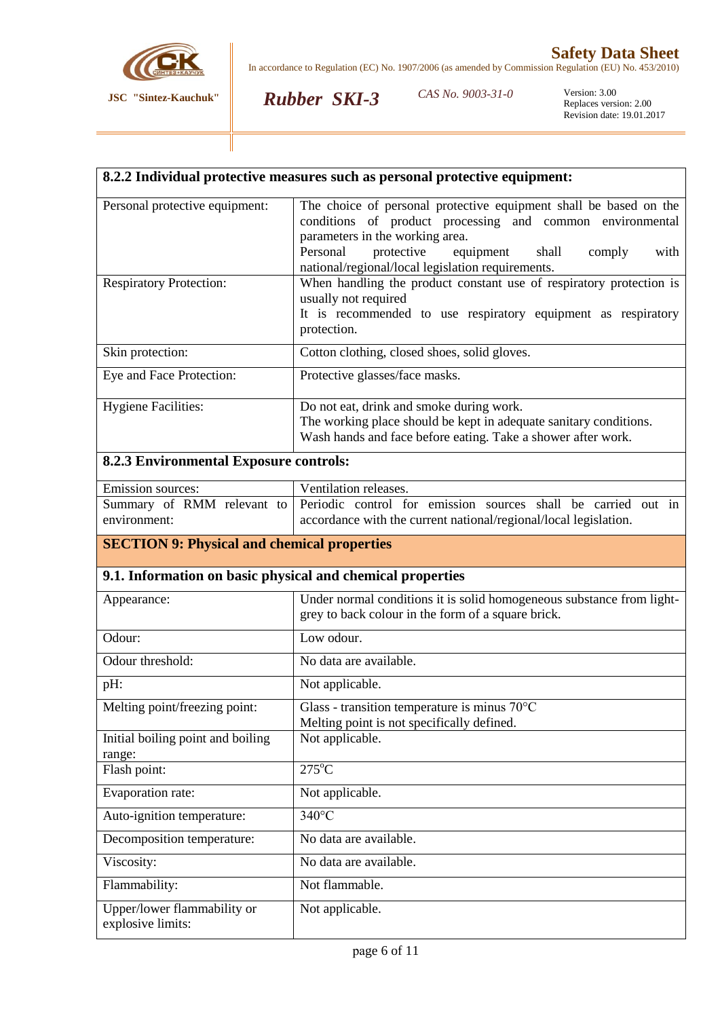

*Rubber SKI-3*

**8.2.2 Individual protective measures such as personal protective equipment:**

*CAS No.* 9003-31-0

Version: 3.00<br>Replaces version: 2.00 Revision date: 19.01.2017

| Personal protective equipment:                             | The choice of personal protective equipment shall be based on the<br>conditions of product processing and common environmental<br>parameters in the working area.             |  |  |
|------------------------------------------------------------|-------------------------------------------------------------------------------------------------------------------------------------------------------------------------------|--|--|
|                                                            | Personal<br>protective<br>equipment<br>shall<br>with<br>comply                                                                                                                |  |  |
| <b>Respiratory Protection:</b>                             | national/regional/local legislation requirements.<br>When handling the product constant use of respiratory protection is                                                      |  |  |
|                                                            | usually not required<br>It is recommended to use respiratory equipment as respiratory<br>protection.                                                                          |  |  |
| Skin protection:                                           | Cotton clothing, closed shoes, solid gloves.                                                                                                                                  |  |  |
| Eye and Face Protection:                                   | Protective glasses/face masks.                                                                                                                                                |  |  |
| <b>Hygiene Facilities:</b>                                 | Do not eat, drink and smoke during work.<br>The working place should be kept in adequate sanitary conditions.<br>Wash hands and face before eating. Take a shower after work. |  |  |
| <b>8.2.3 Environmental Exposure controls:</b>              |                                                                                                                                                                               |  |  |
| Emission sources:                                          | Ventilation releases.                                                                                                                                                         |  |  |
| Summary of RMM relevant to<br>environment:                 | Periodic control for emission sources shall be carried out in<br>accordance with the current national/regional/local legislation.                                             |  |  |
| <b>SECTION 9: Physical and chemical properties</b>         |                                                                                                                                                                               |  |  |
| 9.1. Information on basic physical and chemical properties |                                                                                                                                                                               |  |  |
| Appearance:                                                | Under normal conditions it is solid homogeneous substance from light-<br>grey to back colour in the form of a square brick.                                                   |  |  |
| Odour:                                                     | Low odour.                                                                                                                                                                    |  |  |
| Odour threshold:                                           | No data are available.                                                                                                                                                        |  |  |
| pH:                                                        | Not applicable.                                                                                                                                                               |  |  |
| Melting point/freezing point:                              | Glass - transition temperature is minus 70°C<br>Melting point is not specifically defined.                                                                                    |  |  |
| Initial boiling point and boiling<br>range:                | Not applicable.                                                                                                                                                               |  |  |
| Flash point:                                               | $275^{\circ}$ C                                                                                                                                                               |  |  |
| Evaporation rate:                                          | Not applicable.                                                                                                                                                               |  |  |
| Auto-ignition temperature:                                 | 340°C                                                                                                                                                                         |  |  |
| Decomposition temperature:                                 | No data are available.                                                                                                                                                        |  |  |
| Viscosity:                                                 | No data are available.                                                                                                                                                        |  |  |
| Flammability:                                              | Not flammable.                                                                                                                                                                |  |  |
| Upper/lower flammability or<br>explosive limits:           | Not applicable.                                                                                                                                                               |  |  |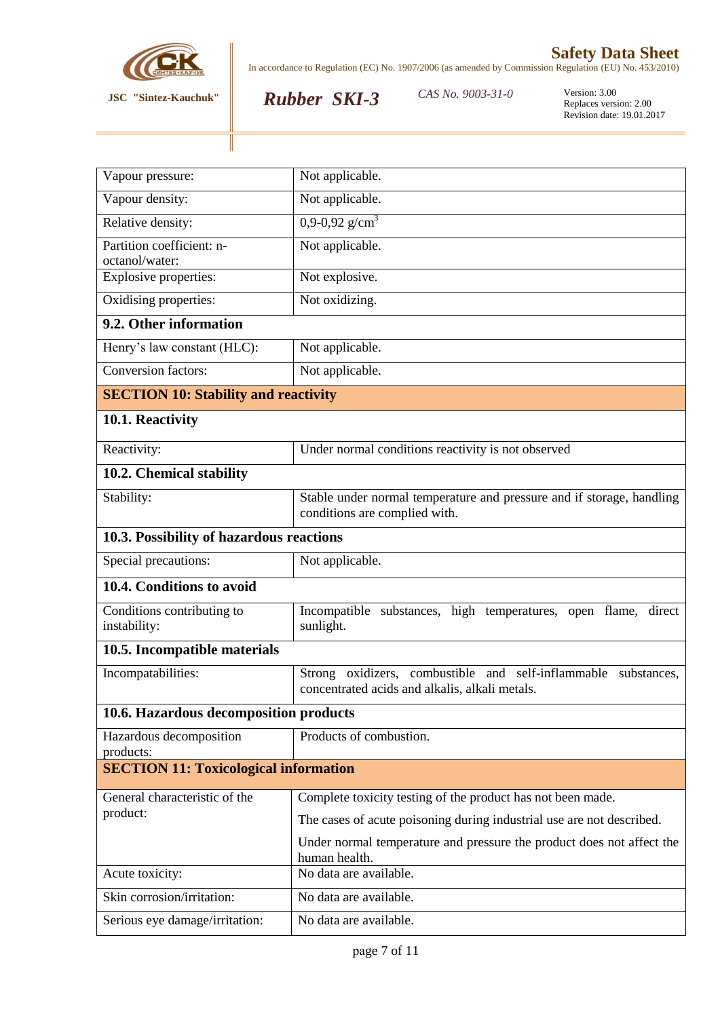

*Rubber SKI-3*

CAS No. 9003-31-0

| Vapour pressure:                             | Not applicable.                                                                                                     |  |  |
|----------------------------------------------|---------------------------------------------------------------------------------------------------------------------|--|--|
| Vapour density:                              | Not applicable.                                                                                                     |  |  |
| Relative density:                            | $0,9-0,92$ g/cm <sup>3</sup>                                                                                        |  |  |
| Partition coefficient: n-<br>octanol/water:  | Not applicable.                                                                                                     |  |  |
| Explosive properties:                        | Not explosive.                                                                                                      |  |  |
| Oxidising properties:                        | Not oxidizing.                                                                                                      |  |  |
| 9.2. Other information                       |                                                                                                                     |  |  |
| Henry's law constant (HLC):                  | Not applicable.                                                                                                     |  |  |
| <b>Conversion factors:</b>                   | Not applicable.                                                                                                     |  |  |
| <b>SECTION 10: Stability and reactivity</b>  |                                                                                                                     |  |  |
| 10.1. Reactivity                             |                                                                                                                     |  |  |
| Reactivity:                                  | Under normal conditions reactivity is not observed                                                                  |  |  |
| 10.2. Chemical stability                     |                                                                                                                     |  |  |
| Stability:                                   | Stable under normal temperature and pressure and if storage, handling<br>conditions are complied with.              |  |  |
| 10.3. Possibility of hazardous reactions     |                                                                                                                     |  |  |
| Special precautions:                         | Not applicable.                                                                                                     |  |  |
| 10.4. Conditions to avoid                    |                                                                                                                     |  |  |
| Conditions contributing to<br>instability:   | Incompatible substances, high temperatures, open flame, direct<br>sunlight.                                         |  |  |
| 10.5. Incompatible materials                 |                                                                                                                     |  |  |
| Incompatabilities:                           | Strong oxidizers, combustible and self-inflammable<br>substances,<br>concentrated acids and alkalis, alkali metals. |  |  |
| 10.6. Hazardous decomposition products       |                                                                                                                     |  |  |
| Hazardous decomposition<br>products:         | Products of combustion.                                                                                             |  |  |
| <b>SECTION 11: Toxicological information</b> |                                                                                                                     |  |  |
| General characteristic of the                | Complete toxicity testing of the product has not been made.                                                         |  |  |
| product:                                     | The cases of acute poisoning during industrial use are not described.                                               |  |  |
|                                              | Under normal temperature and pressure the product does not affect the<br>human health.                              |  |  |
| Acute toxicity:                              | No data are available.                                                                                              |  |  |
| Skin corrosion/irritation:                   | No data are available.                                                                                              |  |  |
| Serious eye damage/irritation:               | No data are available.                                                                                              |  |  |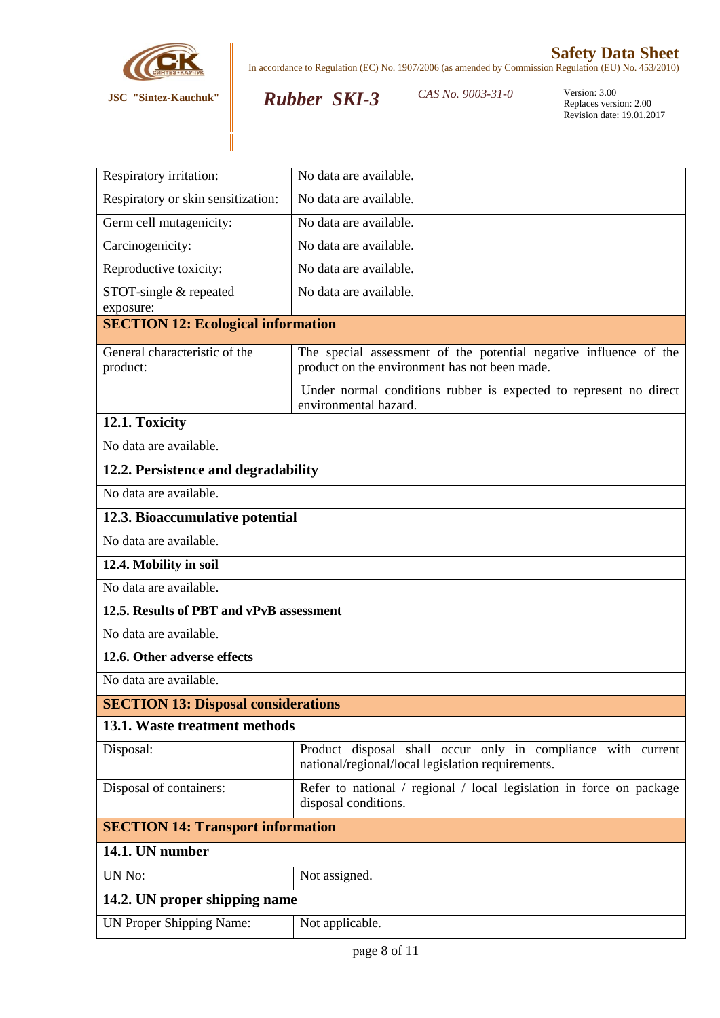

*Rubber SKI-3*

CAS No. 9003-31-0

| Respiratory irritation:                    | No data are available.                                                                                             |  |  |
|--------------------------------------------|--------------------------------------------------------------------------------------------------------------------|--|--|
| Respiratory or skin sensitization:         | No data are available.                                                                                             |  |  |
| Germ cell mutagenicity:                    | No data are available.                                                                                             |  |  |
| Carcinogenicity:                           | No data are available.                                                                                             |  |  |
| Reproductive toxicity:                     | No data are available.                                                                                             |  |  |
| STOT-single & repeated<br>exposure:        | No data are available.                                                                                             |  |  |
| <b>SECTION 12: Ecological information</b>  |                                                                                                                    |  |  |
| General characteristic of the<br>product:  | The special assessment of the potential negative influence of the<br>product on the environment has not been made. |  |  |
|                                            | Under normal conditions rubber is expected to represent no direct<br>environmental hazard.                         |  |  |
| 12.1. Toxicity                             |                                                                                                                    |  |  |
| No data are available.                     |                                                                                                                    |  |  |
| 12.2. Persistence and degradability        |                                                                                                                    |  |  |
| No data are available.                     |                                                                                                                    |  |  |
| 12.3. Bioaccumulative potential            |                                                                                                                    |  |  |
| No data are available.                     |                                                                                                                    |  |  |
| 12.4. Mobility in soil                     |                                                                                                                    |  |  |
| No data are available.                     |                                                                                                                    |  |  |
| 12.5. Results of PBT and vPvB assessment   |                                                                                                                    |  |  |
| No data are available.                     |                                                                                                                    |  |  |
| 12.6. Other adverse effects                |                                                                                                                    |  |  |
| No data are available.                     |                                                                                                                    |  |  |
| <b>SECTION 13: Disposal considerations</b> |                                                                                                                    |  |  |
| 13.1. Waste treatment methods              |                                                                                                                    |  |  |
| Disposal:                                  | Product disposal shall occur only in compliance with current<br>national/regional/local legislation requirements.  |  |  |
| Disposal of containers:                    | Refer to national / regional / local legislation in force on package<br>disposal conditions.                       |  |  |
| <b>SECTION 14: Transport information</b>   |                                                                                                                    |  |  |
| 14.1. UN number                            |                                                                                                                    |  |  |
| UN No:                                     | Not assigned.                                                                                                      |  |  |
| 14.2. UN proper shipping name              |                                                                                                                    |  |  |
| <b>UN Proper Shipping Name:</b>            | Not applicable.                                                                                                    |  |  |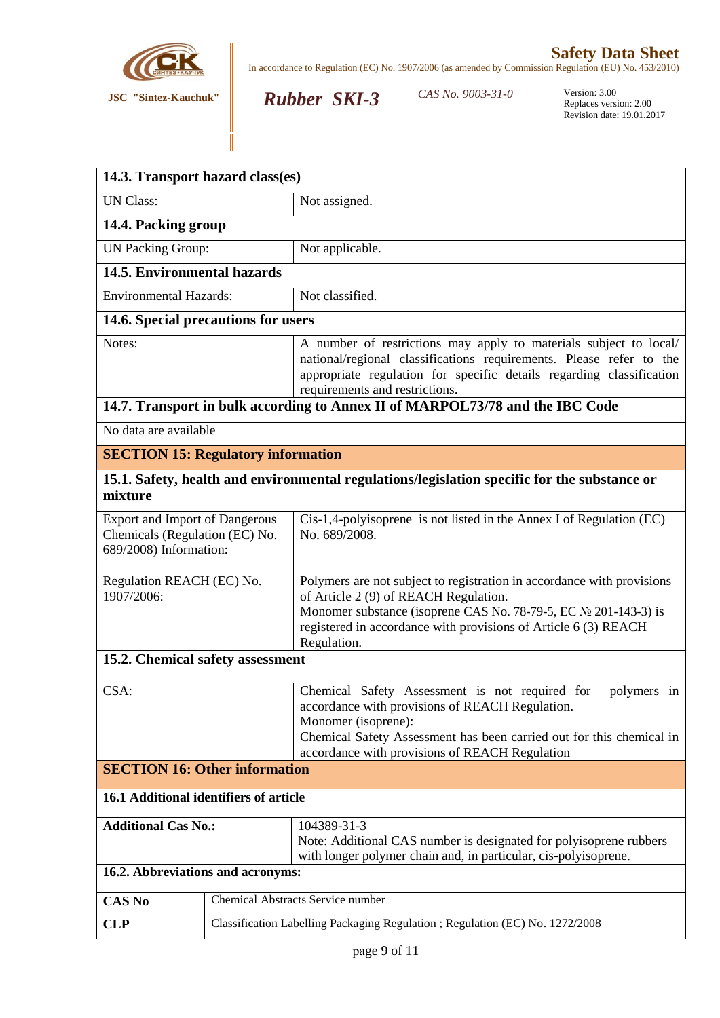

CAS No. 9003-31-0

*Rubber SKI-3*

| 14.3. Transport hazard class(es)                                                                        |                                                                              |                                                                                                                                                                                                                                                                      |  |  |  |
|---------------------------------------------------------------------------------------------------------|------------------------------------------------------------------------------|----------------------------------------------------------------------------------------------------------------------------------------------------------------------------------------------------------------------------------------------------------------------|--|--|--|
| <b>UN Class:</b>                                                                                        |                                                                              | Not assigned.                                                                                                                                                                                                                                                        |  |  |  |
| 14.4. Packing group                                                                                     |                                                                              |                                                                                                                                                                                                                                                                      |  |  |  |
| <b>UN Packing Group:</b>                                                                                |                                                                              | Not applicable.                                                                                                                                                                                                                                                      |  |  |  |
|                                                                                                         | 14.5. Environmental hazards                                                  |                                                                                                                                                                                                                                                                      |  |  |  |
|                                                                                                         | Not classified.<br><b>Environmental Hazards:</b>                             |                                                                                                                                                                                                                                                                      |  |  |  |
| 14.6. Special precautions for users                                                                     |                                                                              |                                                                                                                                                                                                                                                                      |  |  |  |
| Notes:                                                                                                  |                                                                              | A number of restrictions may apply to materials subject to local/<br>national/regional classifications requirements. Please refer to the<br>appropriate regulation for specific details regarding classification<br>requirements and restrictions.                   |  |  |  |
|                                                                                                         |                                                                              | 14.7. Transport in bulk according to Annex II of MARPOL73/78 and the IBC Code                                                                                                                                                                                        |  |  |  |
| No data are available                                                                                   |                                                                              |                                                                                                                                                                                                                                                                      |  |  |  |
| <b>SECTION 15: Regulatory information</b>                                                               |                                                                              |                                                                                                                                                                                                                                                                      |  |  |  |
| 15.1. Safety, health and environmental regulations/legislation specific for the substance or<br>mixture |                                                                              |                                                                                                                                                                                                                                                                      |  |  |  |
| <b>Export and Import of Dangerous</b><br>Chemicals (Regulation (EC) No.<br>689/2008) Information:       |                                                                              | Cis-1,4-polyisoprene is not listed in the Annex I of Regulation (EC)<br>No. 689/2008.                                                                                                                                                                                |  |  |  |
| Regulation REACH (EC) No.<br>1907/2006:                                                                 |                                                                              | Polymers are not subject to registration in accordance with provisions<br>of Article 2 (9) of REACH Regulation.<br>Monomer substance (isoprene CAS No. 78-79-5, EC № 201-143-3) is<br>registered in accordance with provisions of Article 6 (3) REACH<br>Regulation. |  |  |  |
| 15.2. Chemical safety assessment                                                                        |                                                                              |                                                                                                                                                                                                                                                                      |  |  |  |
| CSA:                                                                                                    |                                                                              | Chemical Safety Assessment is not required for<br>polymers in<br>accordance with provisions of REACH Regulation.<br>Monomer (isoprene):<br>Chemical Safety Assessment has been carried out for this chemical in<br>accordance with provisions of REACH Regulation    |  |  |  |
| <b>SECTION 16: Other information</b>                                                                    |                                                                              |                                                                                                                                                                                                                                                                      |  |  |  |
| 16.1 Additional identifiers of article                                                                  |                                                                              |                                                                                                                                                                                                                                                                      |  |  |  |
| <b>Additional Cas No.:</b>                                                                              |                                                                              | 104389-31-3<br>Note: Additional CAS number is designated for polyisoprene rubbers<br>with longer polymer chain and, in particular, cis-polyisoprene.                                                                                                                 |  |  |  |
| 16.2. Abbreviations and acronyms:                                                                       |                                                                              |                                                                                                                                                                                                                                                                      |  |  |  |
| <b>CAS No</b>                                                                                           |                                                                              | Chemical Abstracts Service number                                                                                                                                                                                                                                    |  |  |  |
| <b>CLP</b>                                                                                              | Classification Labelling Packaging Regulation; Regulation (EC) No. 1272/2008 |                                                                                                                                                                                                                                                                      |  |  |  |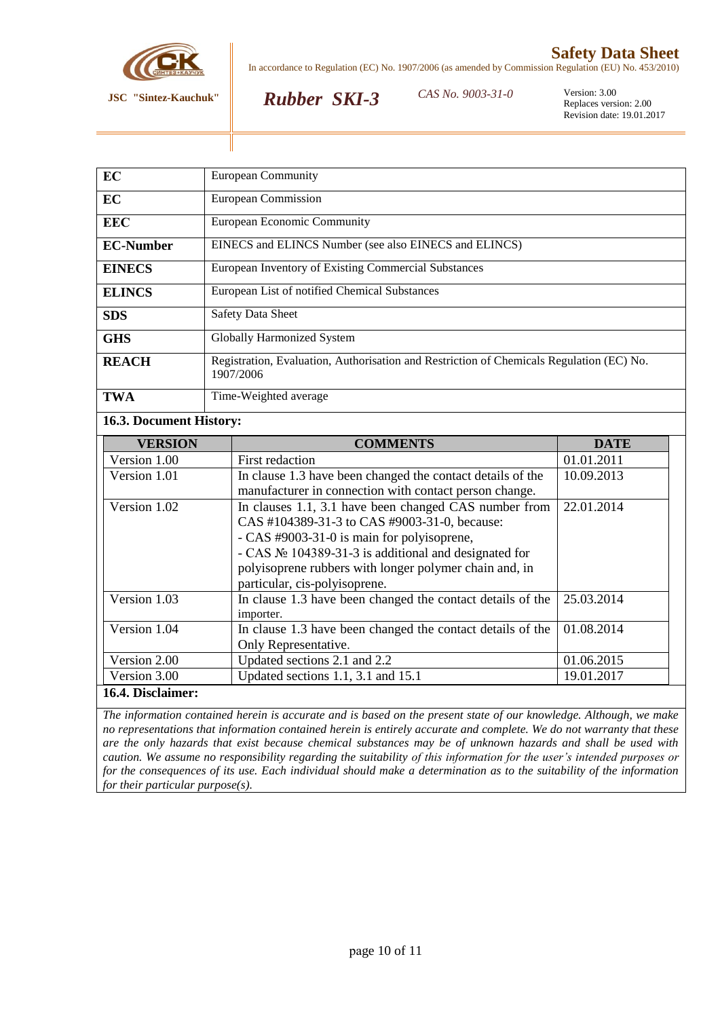

# **Safety Data Sheet**

In accordance to Regulation (EC) No. 1907/2006 (as amended by Commission Regulation (EU) No. 453/2010)

## *Rubber SKI-3*

*CAS No. 9003-31-0* Version: 3.00

Replaces version: 2.00 Revision date: 19.01.2017

| EC                      | <b>European Community</b>                                                                                                                                                                                                                                                                                                                          |             |  |  |
|-------------------------|----------------------------------------------------------------------------------------------------------------------------------------------------------------------------------------------------------------------------------------------------------------------------------------------------------------------------------------------------|-------------|--|--|
| EC                      | European Commission                                                                                                                                                                                                                                                                                                                                |             |  |  |
| <b>EEC</b>              | European Economic Community                                                                                                                                                                                                                                                                                                                        |             |  |  |
| <b>EC-Number</b>        | EINECS and ELINCS Number (see also EINECS and ELINCS)                                                                                                                                                                                                                                                                                              |             |  |  |
| <b>EINECS</b>           | European Inventory of Existing Commercial Substances                                                                                                                                                                                                                                                                                               |             |  |  |
| <b>ELINCS</b>           | European List of notified Chemical Substances                                                                                                                                                                                                                                                                                                      |             |  |  |
| SDS                     | <b>Safety Data Sheet</b>                                                                                                                                                                                                                                                                                                                           |             |  |  |
| <b>GHS</b>              | <b>Globally Harmonized System</b>                                                                                                                                                                                                                                                                                                                  |             |  |  |
| <b>REACH</b>            | Registration, Evaluation, Authorisation and Restriction of Chemicals Regulation (EC) No.<br>1907/2006                                                                                                                                                                                                                                              |             |  |  |
| <b>TWA</b>              | Time-Weighted average                                                                                                                                                                                                                                                                                                                              |             |  |  |
| 16.3. Document History: |                                                                                                                                                                                                                                                                                                                                                    |             |  |  |
|                         |                                                                                                                                                                                                                                                                                                                                                    |             |  |  |
| <b>VERSION</b>          | <b>COMMENTS</b>                                                                                                                                                                                                                                                                                                                                    | <b>DATE</b> |  |  |
| Version 1.00            | <b>First redaction</b>                                                                                                                                                                                                                                                                                                                             | 01.01.2011  |  |  |
| Version 1.01            | In clause 1.3 have been changed the contact details of the                                                                                                                                                                                                                                                                                         | 10.09.2013  |  |  |
| Version 1.02            | manufacturer in connection with contact person change.<br>In clauses 1.1, 3.1 have been changed CAS number from<br>CAS #104389-31-3 to CAS #9003-31-0, because:<br>- CAS #9003-31-0 is main for polyisoprene,<br>- CAS $\mathbb{N}^{\circ}$ 104389-31-3 is additional and designated for<br>polyisoprene rubbers with longer polymer chain and, in | 22.01.2014  |  |  |
| Version 1.03            | particular, cis-polyisoprene.<br>In clause 1.3 have been changed the contact details of the<br>importer.                                                                                                                                                                                                                                           | 25.03.2014  |  |  |
| Version 1.04            | In clause 1.3 have been changed the contact details of the<br>Only Representative.                                                                                                                                                                                                                                                                 | 01.08.2014  |  |  |
| Version 2.00            | Updated sections 2.1 and 2.2                                                                                                                                                                                                                                                                                                                       | 01.06.2015  |  |  |
| Version 3.00            | Updated sections 1.1, 3.1 and 15.1                                                                                                                                                                                                                                                                                                                 | 19.01.2017  |  |  |

*The information contained herein is accurate and is based on the present state of our knowledge. Although, we make no representations that information contained herein is entirely accurate and complete. We do not warranty that these are the only hazards that exist because chemical substances may be of unknown hazards and shall be used with caution. We assume no responsibility regarding the suitability of this information for the user's intended purposes or for the consequences of its use. Each individual should make a determination as to the suitability of the information for their particular purpose(s).*